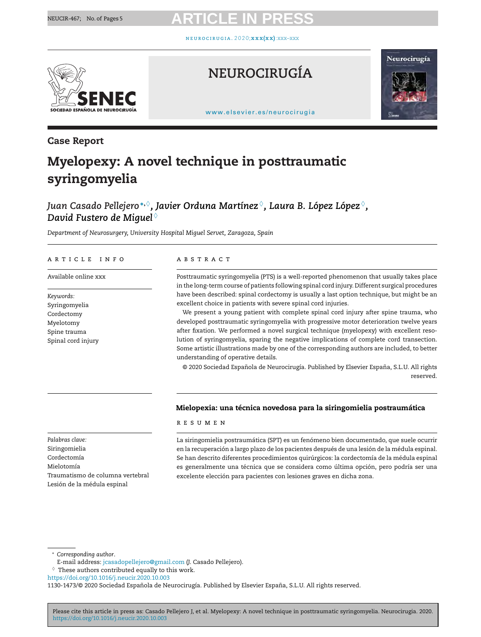neuroc i rugia. 2 0 2 0;**[xxx\(xx\)](https://doi.org/10.1016/j.neucir.2020.10.003)**:xxx–xxx



# **NEUROCIRUGÍA**



[www.elsevier.es/neurocirugia](http://www.elsevier.es/neurocirugia)

## **Case Report**

# **Myelopexy: A novel technique in posttraumatic syringomyelia**

## *Juan Casado Pellejero* **<sup>∗</sup>,**♦*, Javier Orduna Martínez* ♦*, Laura B. López López* ♦*, David Fustero de Miguel* ♦

*Department of Neurosurgery, University Hospital Miguel Servet, Zaragoza, Spain*

#### a r t i c l e i n f o

Available online xxx

*Keywords:* Syringomyelia Cordectomy Myelotomy Spine trauma Spinal cord injury

#### a b s t r a c t

Posttraumatic syringomyelia (PTS) is a well-reported phenomenon that usually takes place in the long-term course of patients following spinal cord injury. Different surgical procedures have been described: spinal cordectomy is usually a last option technique, but might be an excellent choice in patients with severe spinal cord injuries.

We present a young patient with complete spinal cord injury after spine trauma, who developed posttraumatic syringomyelia with progressive motor deterioration twelve years after fixation. We performed a novel surgical technique (myelopexy) with excellent resolution of syringomyelia, sparing the negative implications of complete cord transection. Some artistic illustrations made by one of the corresponding authors are included, to better understanding of operative details.

© 2020 Sociedad Española de Neurocirugía. Published by Elsevier España, S.L.U. All rights reserved.

#### **Mielopexia: una técnica novedosa para la siringomielia postraumática**

#### r e s u m e n

La siringomielia postraumática (SPT) es un fenómeno bien documentado, que suele ocurrir en la recuperación a largo plazo de los pacientes después de una lesión de la médula espinal. Se han descrito diferentes procedimientos quirúrgicos: la cordectomía de la médula espinal es generalmente una técnica que se considera como última opción, pero podría ser una excelente elección para pacientes con lesiones graves en dicha zona.

*Palabras clave:* Siringomielia Cordectomía Mielotomía Traumatismo de columna vertebral Lesión de la médula espinal

∗ *Corresponding author*.

Please cite this article in press as: Casado Pellejero J, et al. Myelopexy: A novel technique in posttraumatic syringomyelia. Neurocirugia. 2020. <https://doi.org/10.1016/j.neucir.2020.10.003>

E-mail address: [jcasadopellejero@gmail.com](mailto:jcasadopellejero@gmail.com) (J. Casado Pellejero).

 $\Diamond$  These authors contributed equally to this work.

<https://doi.org/10.1016/j.neucir.2020.10.003>

<sup>1130-1473/© 2020</sup> Sociedad Española de Neurocirugía. Published by Elsevier España, S.L.U. All rights reserved.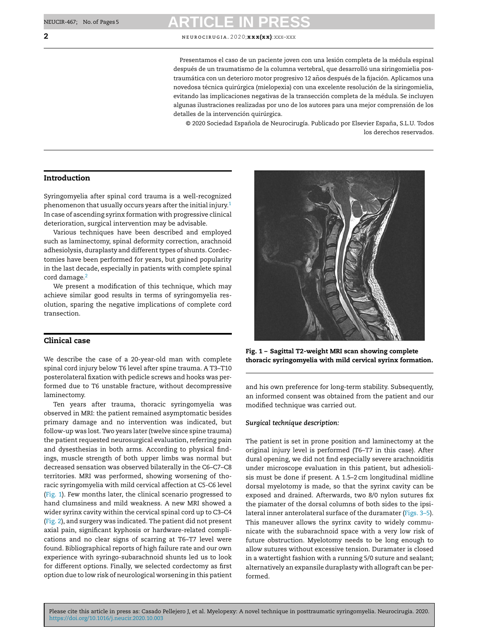**2** NEUROCIRUGIA. 2020;**x x x(x x)**: XXX–XXX

Presentamos el caso de un paciente joven con una lesión completa de la médula espinal después de un traumatismo de la columna vertebral, que desarrolló una siringomielia postraumática con un deterioro motor progresivo 12 años después de la fijación. Aplicamos una novedosa técnica quirúrgica (mielopexia) con una excelente resolución de la siringomielia, evitando las implicaciones negativas de la transección completa de la médula. Se incluyen algunas ilustraciones realizadas por uno de los autores para una mejor comprensión de los detalles de la intervención quirúrgica.

© 2020 Sociedad Española de Neurocirugía. Publicado por Elsevier España, S.L.U. Todos los derechos reservados.

### **Introduction**

Syringomyelia after spinal cord trauma is a well-recognized phenomenon that usually occurs years after the initial injury.<sup>[1](#page-4-0)</sup> In case of ascending syrinx formation with progressive clinical deterioration, surgical intervention may be advisable.

Various techniques have been described and employed such as laminectomy, spinal deformity correction, arachnoid adhesiolysis, duraplasty and different types of shunts. Cordectomies have been performed for years, but gained popularity in the last decade, especially in patients with complete spinal cord damage.<sup>[2](#page-4-0)</sup>

We present a modification of this technique, which may achieve similar good results in terms of syringomyelia resolution, sparing the negative implications of complete cord transection.

### **Clinical case**

We describe the case of a 20-year-old man with complete spinal cord injury below T6 level after spine trauma. A T3–T10 posterolateral fixation with pedicle screws and hooks was performed due to T6 unstable fracture, without decompressive laminectomy.

Ten years after trauma, thoracic syringomyelia was observed in MRI: the patient remained asymptomatic besides primary damage and no intervention was indicated, but follow-up was lost. Two years later (twelve since spine trauma) the patient requested neurosurgical evaluation, referring pain and dysesthesias in both arms. According to physical findings, muscle strength of both upper limbs was normal but decreased sensation was observed bilaterally in the C6–C7–C8 territories. MRI was performed, showing worsening of thoracic syringomyelia with mild cervical affection at C5-C6 level (Fig. 1). Few months later, the clinical scenario progressed to hand clumsiness and mild weakness. A new MRI showed a wider syrinx cavity within the cervical spinal cord up to C3–C4 ([Fig.](#page-2-0) 2), and surgery was indicated. The patient did not present axial pain, significant kyphosis or hardware-related complications and no clear signs of scarring at T6–T7 level were found. Bibliographical reports of high failure rate and our own experience with syringo-subarachnoid shunts led us to look for different options. Finally, we selected cordectomy as first option due to low risk of neurological worsening in this patient



**Fig. 1 – Sagittal T2-weight MRI scan showing complete thoracic syringomyelia with mild cervical syrinx formation.**

and his own preference for long-term stability. Subsequently, an informed consent was obtained from the patient and our modified technique was carried out.

#### *Surgical technique description:*

The patient is set in prone position and laminectomy at the original injury level is performed (T6–T7 in this case). After dural opening, we did not find especially severe arachnoiditis under microscope evaluation in this patient, but adhesiolisis must be done if present. A 1.5–2 cm longitudinal midline dorsal myelotomy is made, so that the syrinx cavity can be exposed and drained. Afterwards, two 8/0 nylon sutures fix the piamater of the dorsal columns of both sides to the ipsilateral inner anterolateral surface of the duramater (Figs. [3–5\).](#page-2-0) This maneuver allows the syrinx cavity to widely communicate with the subarachnoid space with a very low risk of future obstruction. Myelotomy needs to be long enough to allow sutures without excessive tension. Duramater is closed in a watertight fashion with a running 5/0 suture and sealant; alternatively an expansile duraplasty with allograft can be performed.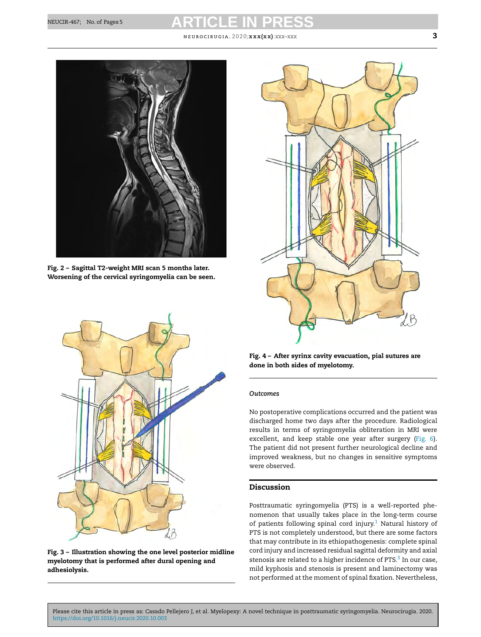#### neuroc i rugia. 2 0 2 0;**xxx(xx)**:xxx–xxx **3**

<span id="page-2-0"></span>

**Fig. 2 – Sagittal T2-weight MRI scan 5 months later. Worsening of the cervical syringomyelia can be seen.**



**Fig. 3 – Illustration showing the one level posterior midline myelotomy that is performed after dural opening and adhesiolysis.**



**Fig. 4 – After syrinx cavity evacuation, pial sutures are done in both sides of myelotomy.**

#### *Outcomes*

No postoperative complications occurred and the patient was discharged home two days after the procedure. Radiological results in terms of syringomyelia obliteration in MRI were excellent, and keep stable one year after surgery ([Fig.](#page-3-0) 6). The patient did not present further neurological decline and improved weakness, but no changes in sensitive symptoms were observed.

### **Discussion**

Posttraumatic syringomyelia (PTS) is a well-reported phenomenon that usually takes place in the long-term course of patients following spinal cord injury.<sup>[1](#page-4-0)</sup> Natural history of PTS is not completely understood, but there are some factors that may contribute in its ethiopathogenesis: complete spinal cord injury and increased residual sagittal deformity and axial stenosis are related to a higher incidence of PTS.<sup>[3](#page-4-0)</sup> In our case, mild kyphosis and stenosis is present and laminectomy was not performed at the moment of spinal fixation. Nevertheless,

Please cite this article in press as: Casado Pellejero J, et al. Myelopexy: A novel technique in posttraumatic syringomyelia. Neurocirugia. 2020. <https://doi.org/10.1016/j.neucir.2020.10.003>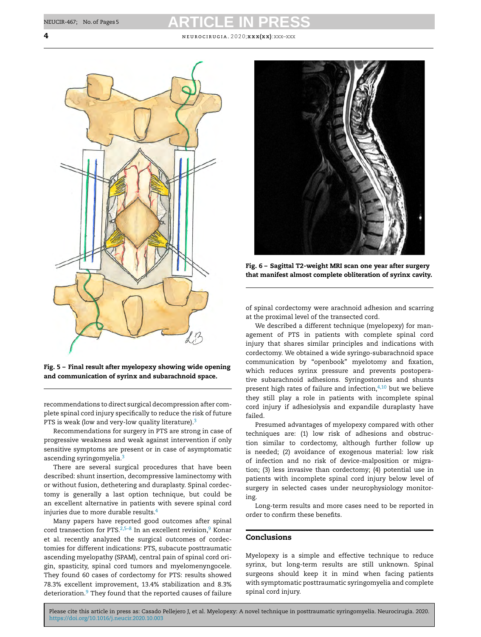<span id="page-3-0"></span>**4** neuroc i rugia. 2 0 2 0;**xxx(xx)**:xxx–xxx



**Fig. 5 – Final result after myelopexy showing wide opening and communication of syrinx and subarachnoid space.**

recommendations to direct surgical decompression after complete spinal cord injury specifically to reduce the risk of future PTS is weak (low and very-low quality literature).<sup>3</sup>

Recommendations for surgery in PTS are strong in case of progressive weakness and weak against intervention if only sensitive symptoms are present or in case of asymptomatic ascending syringomyelia.[3](#page-4-0)

There are several surgical procedures that have been described: shunt insertion, decompressive laminectomy with or without fusion, dethetering and duraplasty. Spinal cordectomy is generally a last option technique, but could be an excellent alternative in patients with severe spinal cord injuries due to more durable results.<sup>4</sup>

Many papers have reported good outcomes after spinal cord transection for PTS.<sup>2,5–8</sup> In an excellent revision,<sup>[9](#page-4-0)</sup> Konar et al. recently analyzed the surgical outcomes of cordectomies for different indications: PTS, subacute posttraumatic ascending myelopathy (SPAM), central pain of spinal cord origin, spasticity, spinal cord tumors and myelomenyngocele. They found 60 cases of cordectomy for PTS: results showed 78.3% excellent improvement, 13.4% stabilization and 8.3% deterioration.<sup>[9](#page-4-0)</sup> They found that the reported causes of failure



**Fig. 6 – Sagittal T2-weight MRI scan one year after surgery that manifest almost complete obliteration of syrinx cavity.**

of spinal cordectomy were arachnoid adhesion and scarring at the proximal level of the transected cord.

We described a different technique (myelopexy) for management of PTS in patients with complete spinal cord injury that shares similar principles and indications with cordectomy. We obtained a wide syringo-subarachnoid space communication by "openbook" myelotomy and fixation, which reduces syrinx pressure and prevents postoperative subarachnoid adhesions. Syringostomies and shunts present high rates of failure and infection, $4,10$  but we believe they still play a role in patients with incomplete spinal cord injury if adhesiolysis and expandile duraplasty have failed.

Presumed advantages of myelopexy compared with other techniques are: (1) low risk of adhesions and obstruction similar to cordectomy, although further follow up is needed; (2) avoidance of exogenous material: low risk of infection and no risk of device-malposition or migration; (3) less invasive than cordectomy; (4) potential use in patients with incomplete spinal cord injury below level of surgery in selected cases under neurophysiology monitoring.

Long-term results and more cases need to be reported in order to confirm these benefits.

### **Conclusions**

Myelopexy is a simple and effective technique to reduce syrinx, but long-term results are still unknown. Spinal surgeons should keep it in mind when facing patients with symptomatic posttraumatic syringomyelia and complete spinal cord injury.

Please cite this article in press as: Casado Pellejero J, et al. Myelopexy: A novel technique in posttraumatic syringomyelia. Neurocirugia. 2020. <https://doi.org/10.1016/j.neucir.2020.10.003>